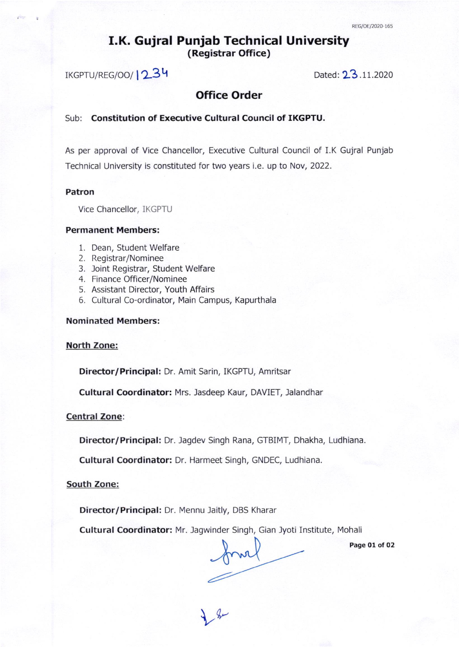## I.K. Gujral Punjab Technical University (Registrar Office)

 $IKGPTU/REG/OO/$   $12.34$  Dated:  $23.11.2020$ 

## Office Order

## Sub: Constitution of Executive Cultural Council of IKGPTU.

As per approval of Vice Chancellor, Executive Cultural Council of I.K Gujral Punjab Technical University is constituted for two years i.e. up to Nov, 2022.

## Patron

Vice Chancellor, IKGPfU

## Permanent Members:

- 1. Dean, Student Welfare
- 2. Registrar/Nominee
- 3. loint Registrar, Student Welfare
- 4. Finance Officer/Nominee
- 5. Assistant Director, Youth Affairs
- 6. Cultural Co-ordinator, Main Campus, Kapurthala

## Nominated Members:

#### North Zone:

Director/ Principal: Dr. Amit Sarin, IKGPTU, Amritsar

Cultural Coordinator: Mrs. Jasdeep Kaur, DAVIET, Jalandhar

## Central zone

Director/ Principal: Dr. Jagdev Singh Rana, GTBIMT, Dhakha, Ludhiana.

Cultural Coordinator: Dr. Harmeet Singh, GNDEC, Ludhiana.

## South Zone:

Director/Principal: Dr. Mennu Jaitly, DBS Kharar

Cultural Coordinator: Mr. Jagwinder Singh, Gian Jyoti Institute, Mohali

 $V_{\text{av}}$ 

Page 01 of 02